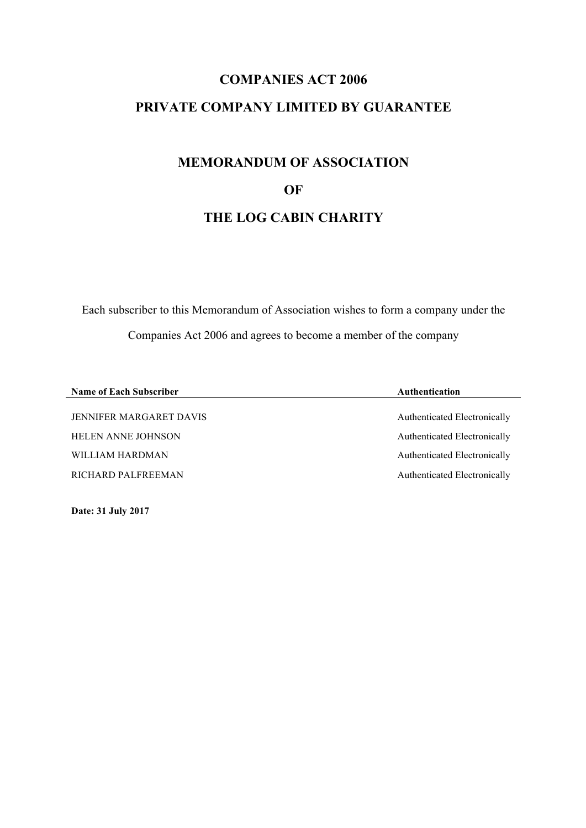# **COMPANIES ACT 2006 PRIVATE COMPANY LIMITED BY GUARANTEE**

# **MEMORANDUM OF ASSOCIATION OF THE LOG CABIN CHARITY**

Each subscriber to this Memorandum of Association wishes to form a company under the Companies Act 2006 and agrees to become a member of the company

| <b>Name of Each Subscriber</b> | <b>Authentication</b>        |
|--------------------------------|------------------------------|
|                                |                              |
| <b>JENNIFER MARGARET DAVIS</b> | Authenticated Electronically |
| <b>HELEN ANNE JOHNSON</b>      | Authenticated Electronically |
| WILLIAM HARDMAN                | Authenticated Electronically |
| RICHARD PALFREEMAN             | Authenticated Electronically |

**Date: 31 July 2017**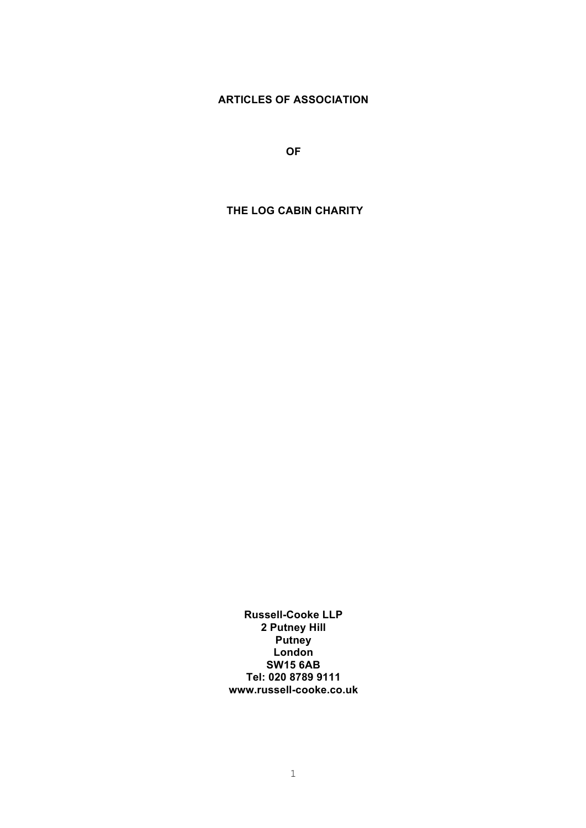## **ARTICLES OF ASSOCIATION**

**OF**

## **THE LOG CABIN CHARITY**

**Russell-Cooke LLP 2 Putney Hill Putney London SW15 6AB Tel: 020 8789 9111 www.russell-cooke.co.uk**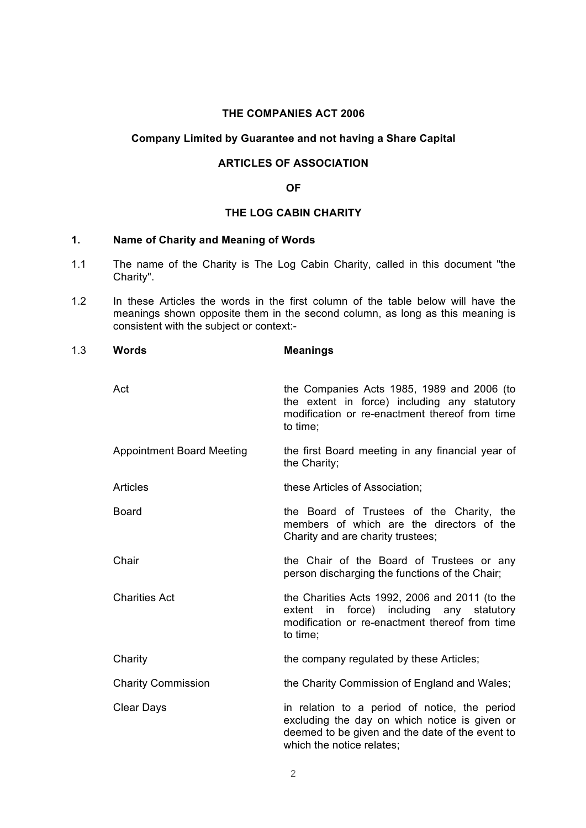## **THE COMPANIES ACT 2006**

#### **Company Limited by Guarantee and not having a Share Capital**

## **ARTICLES OF ASSOCIATION**

#### **OF**

## **THE LOG CABIN CHARITY**

#### **1. Name of Charity and Meaning of Words**

- 1.1 The name of the Charity is The Log Cabin Charity, called in this document "the Charity".
- 1.2 In these Articles the words in the first column of the table below will have the meanings shown opposite them in the second column, as long as this meaning is consistent with the subject or context:-

| 1.3 | <b>Words</b>                     | <b>Meanings</b>                                                                                                                                                                |
|-----|----------------------------------|--------------------------------------------------------------------------------------------------------------------------------------------------------------------------------|
|     | Act                              | the Companies Acts 1985, 1989 and 2006 (to<br>the extent in force) including any statutory<br>modification or re-enactment thereof from time<br>to time;                       |
|     | <b>Appointment Board Meeting</b> | the first Board meeting in any financial year of<br>the Charity;                                                                                                               |
|     | <b>Articles</b>                  | these Articles of Association;                                                                                                                                                 |
|     | <b>Board</b>                     | the Board of Trustees of the Charity, the<br>members of which are the directors of the<br>Charity and are charity trustees;                                                    |
|     | Chair                            | the Chair of the Board of Trustees or any<br>person discharging the functions of the Chair;                                                                                    |
|     | <b>Charities Act</b>             | the Charities Acts 1992, 2006 and 2011 (to the<br>extent in force) including any statutory<br>modification or re-enactment thereof from time<br>to time;                       |
|     | Charity                          | the company regulated by these Articles;                                                                                                                                       |
|     | <b>Charity Commission</b>        | the Charity Commission of England and Wales;                                                                                                                                   |
|     | <b>Clear Days</b>                | in relation to a period of notice, the period<br>excluding the day on which notice is given or<br>deemed to be given and the date of the event to<br>which the notice relates: |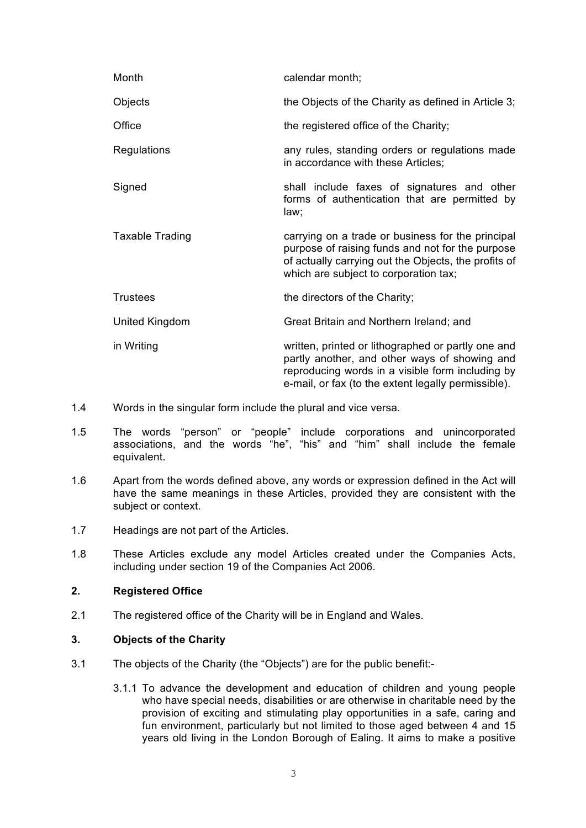| Month                  | calendar month;                                                                                                                                                                                                |
|------------------------|----------------------------------------------------------------------------------------------------------------------------------------------------------------------------------------------------------------|
| Objects                | the Objects of the Charity as defined in Article 3;                                                                                                                                                            |
| Office                 | the registered office of the Charity;                                                                                                                                                                          |
| Regulations            | any rules, standing orders or regulations made<br>in accordance with these Articles;                                                                                                                           |
| Signed                 | shall include faxes of signatures and other<br>forms of authentication that are permitted by<br>law;                                                                                                           |
| <b>Taxable Trading</b> | carrying on a trade or business for the principal<br>purpose of raising funds and not for the purpose<br>of actually carrying out the Objects, the profits of<br>which are subject to corporation tax;         |
| <b>Trustees</b>        | the directors of the Charity;                                                                                                                                                                                  |
| United Kingdom         | Great Britain and Northern Ireland; and                                                                                                                                                                        |
| in Writing             | written, printed or lithographed or partly one and<br>partly another, and other ways of showing and<br>reproducing words in a visible form including by<br>e-mail, or fax (to the extent legally permissible). |

- 1.4 Words in the singular form include the plural and vice versa.
- 1.5 The words "person" or "people" include corporations and unincorporated associations, and the words "he", "his" and "him" shall include the female equivalent.
- 1.6 Apart from the words defined above, any words or expression defined in the Act will have the same meanings in these Articles, provided they are consistent with the subject or context.
- 1.7 Headings are not part of the Articles.
- 1.8 These Articles exclude any model Articles created under the Companies Acts, including under section 19 of the Companies Act 2006.

#### **2. Registered Office**

2.1 The registered office of the Charity will be in England and Wales.

#### **3. Objects of the Charity**

- 3.1 The objects of the Charity (the "Objects") are for the public benefit:-
	- 3.1.1 To advance the development and education of children and young people who have special needs, disabilities or are otherwise in charitable need by the provision of exciting and stimulating play opportunities in a safe, caring and fun environment, particularly but not limited to those aged between 4 and 15 years old living in the London Borough of Ealing. It aims to make a positive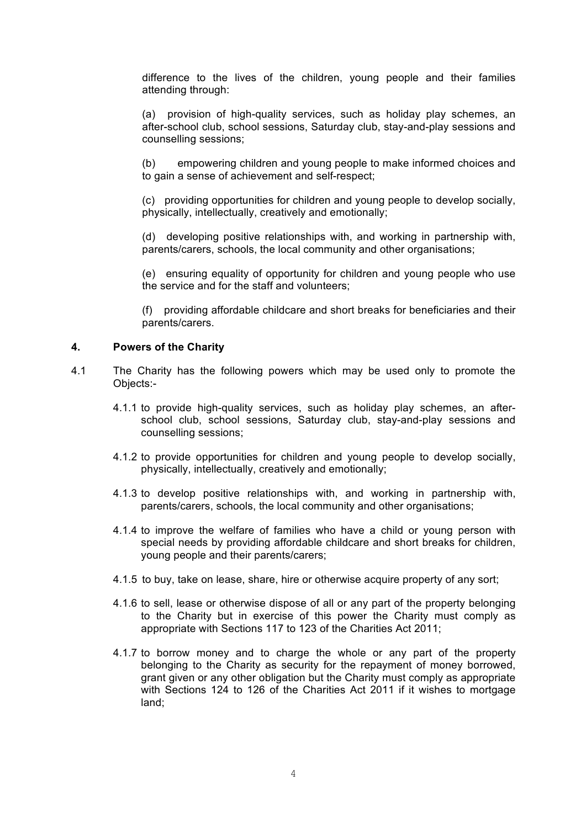difference to the lives of the children, young people and their families attending through:

(a) provision of high-quality services, such as holiday play schemes, an after-school club, school sessions, Saturday club, stay-and-play sessions and counselling sessions;

(b) empowering children and young people to make informed choices and to gain a sense of achievement and self-respect;

(c) providing opportunities for children and young people to develop socially, physically, intellectually, creatively and emotionally;

(d) developing positive relationships with, and working in partnership with, parents/carers, schools, the local community and other organisations;

(e) ensuring equality of opportunity for children and young people who use the service and for the staff and volunteers;

(f) providing affordable childcare and short breaks for beneficiaries and their parents/carers.

#### **4. Powers of the Charity**

- 4.1 The Charity has the following powers which may be used only to promote the Objects:-
	- 4.1.1 to provide high-quality services, such as holiday play schemes, an afterschool club, school sessions, Saturday club, stay-and-play sessions and counselling sessions;
	- 4.1.2 to provide opportunities for children and young people to develop socially, physically, intellectually, creatively and emotionally;
	- 4.1.3 to develop positive relationships with, and working in partnership with, parents/carers, schools, the local community and other organisations;
	- 4.1.4 to improve the welfare of families who have a child or young person with special needs by providing affordable childcare and short breaks for children, young people and their parents/carers;
	- 4.1.5 to buy, take on lease, share, hire or otherwise acquire property of any sort;
	- 4.1.6 to sell, lease or otherwise dispose of all or any part of the property belonging to the Charity but in exercise of this power the Charity must comply as appropriate with Sections 117 to 123 of the Charities Act 2011;
	- 4.1.7 to borrow money and to charge the whole or any part of the property belonging to the Charity as security for the repayment of money borrowed, grant given or any other obligation but the Charity must comply as appropriate with Sections 124 to 126 of the Charities Act 2011 if it wishes to mortgage land;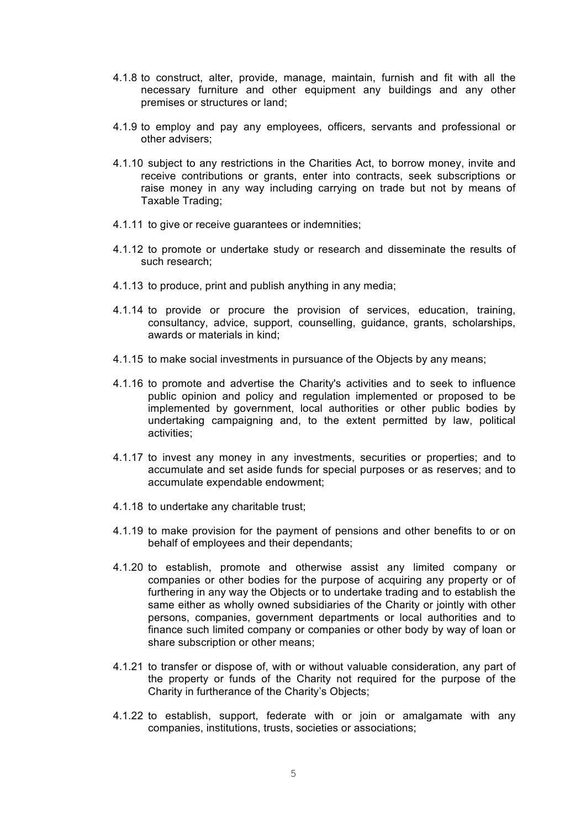- 4.1.8 to construct, alter, provide, manage, maintain, furnish and fit with all the necessary furniture and other equipment any buildings and any other premises or structures or land;
- 4.1.9 to employ and pay any employees, officers, servants and professional or other advisers;
- 4.1.10 subject to any restrictions in the Charities Act, to borrow money, invite and receive contributions or grants, enter into contracts, seek subscriptions or raise money in any way including carrying on trade but not by means of Taxable Trading;
- 4.1.11 to give or receive guarantees or indemnities;
- 4.1.12 to promote or undertake study or research and disseminate the results of such research;
- 4.1.13 to produce, print and publish anything in any media;
- 4.1.14 to provide or procure the provision of services, education, training, consultancy, advice, support, counselling, guidance, grants, scholarships, awards or materials in kind;
- 4.1.15 to make social investments in pursuance of the Objects by any means;
- 4.1.16 to promote and advertise the Charity's activities and to seek to influence public opinion and policy and regulation implemented or proposed to be implemented by government, local authorities or other public bodies by undertaking campaigning and, to the extent permitted by law, political activities;
- 4.1.17 to invest any money in any investments, securities or properties; and to accumulate and set aside funds for special purposes or as reserves; and to accumulate expendable endowment;
- 4.1.18 to undertake any charitable trust;
- 4.1.19 to make provision for the payment of pensions and other benefits to or on behalf of employees and their dependants;
- 4.1.20 to establish, promote and otherwise assist any limited company or companies or other bodies for the purpose of acquiring any property or of furthering in any way the Objects or to undertake trading and to establish the same either as wholly owned subsidiaries of the Charity or jointly with other persons, companies, government departments or local authorities and to finance such limited company or companies or other body by way of loan or share subscription or other means;
- 4.1.21 to transfer or dispose of, with or without valuable consideration, any part of the property or funds of the Charity not required for the purpose of the Charity in furtherance of the Charity's Objects;
- 4.1.22 to establish, support, federate with or join or amalgamate with any companies, institutions, trusts, societies or associations;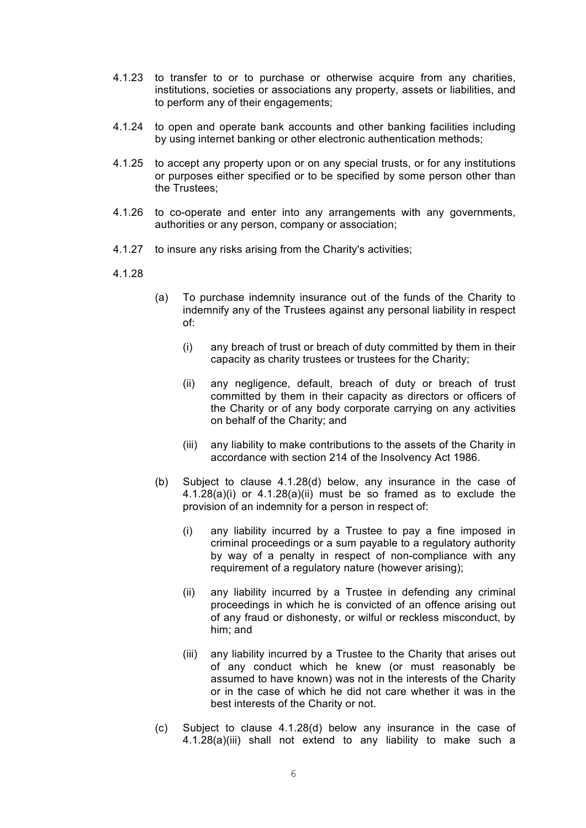- 4.1.23 to transfer to or to purchase or otherwise acquire from any charities, institutions, societies or associations any property, assets or liabilities, and to perform any of their engagements;
- 4.1.24 to open and operate bank accounts and other banking facilities including by using internet banking or other electronic authentication methods;
- 4.1.25 to accept any property upon or on any special trusts, or for any institutions or purposes either specified or to be specified by some person other than the Trustees;
- 4.1.26 to co-operate and enter into any arrangements with any governments, authorities or any person, company or association;
- 4.1.27 to insure any risks arising from the Charity's activities;
- 4.1.28
- (a) To purchase indemnity insurance out of the funds of the Charity to indemnify any of the Trustees against any personal liability in respect of:
	- (i) any breach of trust or breach of duty committed by them in their capacity as charity trustees or trustees for the Charity;
	- (ii) any negligence, default, breach of duty or breach of trust committed by them in their capacity as directors or officers of the Charity or of any body corporate carrying on any activities on behalf of the Charity; and
	- (iii) any liability to make contributions to the assets of the Charity in accordance with section 214 of the Insolvency Act 1986.
- (b) Subject to clause 4.1.28(d) below, any insurance in the case of 4.1.28(a)(i) or 4.1.28(a)(ii) must be so framed as to exclude the provision of an indemnity for a person in respect of:
	- (i) any liability incurred by a Trustee to pay a fine imposed in criminal proceedings or a sum payable to a regulatory authority by way of a penalty in respect of non-compliance with any requirement of a regulatory nature (however arising);
	- (ii) any liability incurred by a Trustee in defending any criminal proceedings in which he is convicted of an offence arising out of any fraud or dishonesty, or wilful or reckless misconduct, by him; and
	- (iii) any liability incurred by a Trustee to the Charity that arises out of any conduct which he knew (or must reasonably be assumed to have known) was not in the interests of the Charity or in the case of which he did not care whether it was in the best interests of the Charity or not.
- (c) Subject to clause 4.1.28(d) below any insurance in the case of 4.1.28(a)(iii) shall not extend to any liability to make such a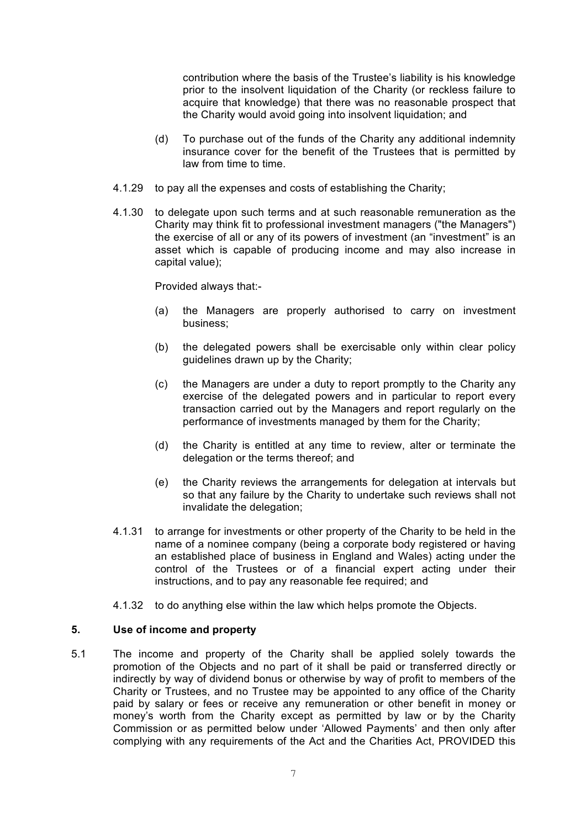contribution where the basis of the Trustee's liability is his knowledge prior to the insolvent liquidation of the Charity (or reckless failure to acquire that knowledge) that there was no reasonable prospect that the Charity would avoid going into insolvent liquidation; and

- (d) To purchase out of the funds of the Charity any additional indemnity insurance cover for the benefit of the Trustees that is permitted by law from time to time.
- 4.1.29 to pay all the expenses and costs of establishing the Charity;
- 4.1.30 to delegate upon such terms and at such reasonable remuneration as the Charity may think fit to professional investment managers ("the Managers") the exercise of all or any of its powers of investment (an "investment" is an asset which is capable of producing income and may also increase in capital value);

Provided always that:-

- (a) the Managers are properly authorised to carry on investment business;
- (b) the delegated powers shall be exercisable only within clear policy guidelines drawn up by the Charity;
- (c) the Managers are under a duty to report promptly to the Charity any exercise of the delegated powers and in particular to report every transaction carried out by the Managers and report regularly on the performance of investments managed by them for the Charity;
- (d) the Charity is entitled at any time to review, alter or terminate the delegation or the terms thereof; and
- (e) the Charity reviews the arrangements for delegation at intervals but so that any failure by the Charity to undertake such reviews shall not invalidate the delegation;
- 4.1.31 to arrange for investments or other property of the Charity to be held in the name of a nominee company (being a corporate body registered or having an established place of business in England and Wales) acting under the control of the Trustees or of a financial expert acting under their instructions, and to pay any reasonable fee required; and
- 4.1.32 to do anything else within the law which helps promote the Objects.

## **5. Use of income and property**

5.1 The income and property of the Charity shall be applied solely towards the promotion of the Objects and no part of it shall be paid or transferred directly or indirectly by way of dividend bonus or otherwise by way of profit to members of the Charity or Trustees, and no Trustee may be appointed to any office of the Charity paid by salary or fees or receive any remuneration or other benefit in money or money's worth from the Charity except as permitted by law or by the Charity Commission or as permitted below under 'Allowed Payments' and then only after complying with any requirements of the Act and the Charities Act, PROVIDED this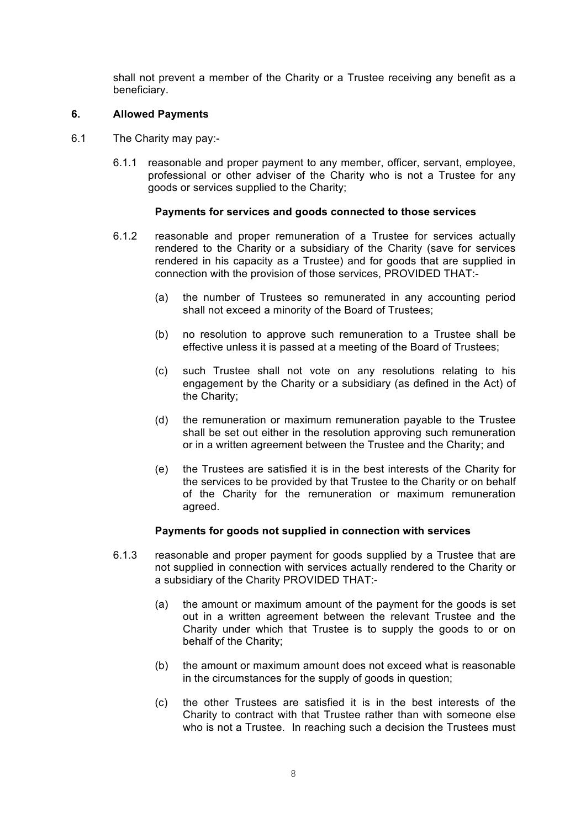shall not prevent a member of the Charity or a Trustee receiving any benefit as a beneficiary.

#### **6. Allowed Payments**

- 6.1 The Charity may pay:-
	- 6.1.1 reasonable and proper payment to any member, officer, servant, employee, professional or other adviser of the Charity who is not a Trustee for any goods or services supplied to the Charity;

#### **Payments for services and goods connected to those services**

- 6.1.2 reasonable and proper remuneration of a Trustee for services actually rendered to the Charity or a subsidiary of the Charity (save for services rendered in his capacity as a Trustee) and for goods that are supplied in connection with the provision of those services, PROVIDED THAT:-
	- (a) the number of Trustees so remunerated in any accounting period shall not exceed a minority of the Board of Trustees;
	- (b) no resolution to approve such remuneration to a Trustee shall be effective unless it is passed at a meeting of the Board of Trustees;
	- (c) such Trustee shall not vote on any resolutions relating to his engagement by the Charity or a subsidiary (as defined in the Act) of the Charity;
	- (d) the remuneration or maximum remuneration payable to the Trustee shall be set out either in the resolution approving such remuneration or in a written agreement between the Trustee and the Charity; and
	- (e) the Trustees are satisfied it is in the best interests of the Charity for the services to be provided by that Trustee to the Charity or on behalf of the Charity for the remuneration or maximum remuneration agreed.

## **Payments for goods not supplied in connection with services**

- 6.1.3 reasonable and proper payment for goods supplied by a Trustee that are not supplied in connection with services actually rendered to the Charity or a subsidiary of the Charity PROVIDED THAT:-
	- (a) the amount or maximum amount of the payment for the goods is set out in a written agreement between the relevant Trustee and the Charity under which that Trustee is to supply the goods to or on behalf of the Charity;
	- (b) the amount or maximum amount does not exceed what is reasonable in the circumstances for the supply of goods in question;
	- (c) the other Trustees are satisfied it is in the best interests of the Charity to contract with that Trustee rather than with someone else who is not a Trustee. In reaching such a decision the Trustees must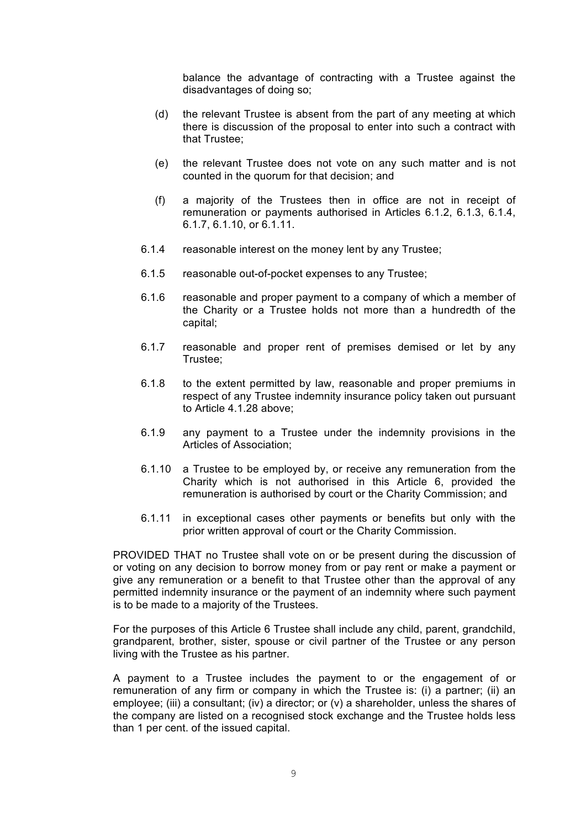balance the advantage of contracting with a Trustee against the disadvantages of doing so;

- (d) the relevant Trustee is absent from the part of any meeting at which there is discussion of the proposal to enter into such a contract with that Trustee;
- (e) the relevant Trustee does not vote on any such matter and is not counted in the quorum for that decision; and
- (f) a majority of the Trustees then in office are not in receipt of remuneration or payments authorised in Articles 6.1.2, 6.1.3, 6.1.4, 6.1.7, 6.1.10, or 6.1.11.
- 6.1.4 reasonable interest on the money lent by any Trustee;
- 6.1.5 reasonable out-of-pocket expenses to any Trustee;
- 6.1.6 reasonable and proper payment to a company of which a member of the Charity or a Trustee holds not more than a hundredth of the capital;
- 6.1.7 reasonable and proper rent of premises demised or let by any Trustee;
- 6.1.8 to the extent permitted by law, reasonable and proper premiums in respect of any Trustee indemnity insurance policy taken out pursuant to Article 4.1.28 above;
- 6.1.9 any payment to a Trustee under the indemnity provisions in the Articles of Association;
- 6.1.10 a Trustee to be employed by, or receive any remuneration from the Charity which is not authorised in this Article 6, provided the remuneration is authorised by court or the Charity Commission; and
- 6.1.11 in exceptional cases other payments or benefits but only with the prior written approval of court or the Charity Commission.

PROVIDED THAT no Trustee shall vote on or be present during the discussion of or voting on any decision to borrow money from or pay rent or make a payment or give any remuneration or a benefit to that Trustee other than the approval of any permitted indemnity insurance or the payment of an indemnity where such payment is to be made to a majority of the Trustees.

For the purposes of this Article 6 Trustee shall include any child, parent, grandchild, grandparent, brother, sister, spouse or civil partner of the Trustee or any person living with the Trustee as his partner.

A payment to a Trustee includes the payment to or the engagement of or remuneration of any firm or company in which the Trustee is: (i) a partner; (ii) an employee; (iii) a consultant; (iv) a director; or (v) a shareholder, unless the shares of the company are listed on a recognised stock exchange and the Trustee holds less than 1 per cent. of the issued capital.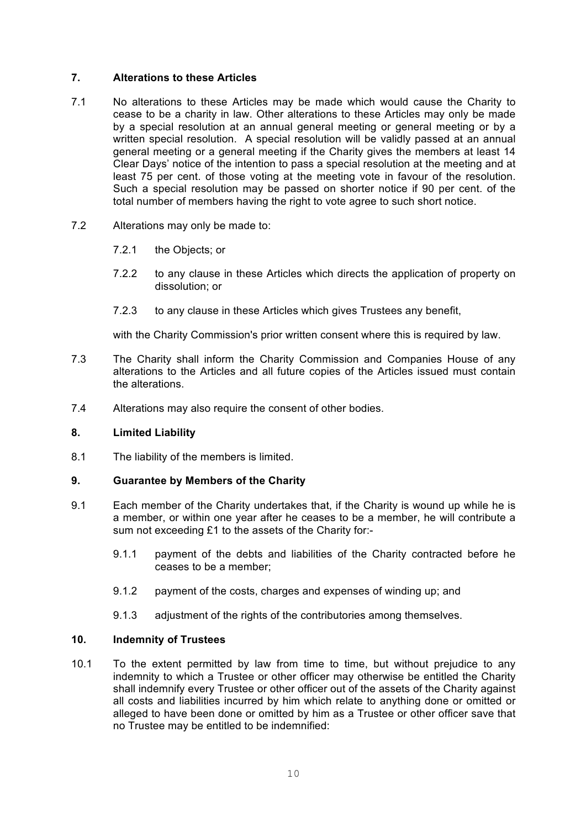#### **7. Alterations to these Articles**

- 7.1 No alterations to these Articles may be made which would cause the Charity to cease to be a charity in law. Other alterations to these Articles may only be made by a special resolution at an annual general meeting or general meeting or by a written special resolution. A special resolution will be validly passed at an annual general meeting or a general meeting if the Charity gives the members at least 14 Clear Days' notice of the intention to pass a special resolution at the meeting and at least 75 per cent. of those voting at the meeting vote in favour of the resolution. Such a special resolution may be passed on shorter notice if 90 per cent. of the total number of members having the right to vote agree to such short notice.
- 7.2 Alterations may only be made to:
	- 7.2.1 the Objects; or
	- 7.2.2 to any clause in these Articles which directs the application of property on dissolution; or
	- 7.2.3 to any clause in these Articles which gives Trustees any benefit,

with the Charity Commission's prior written consent where this is required by law.

- 7.3 The Charity shall inform the Charity Commission and Companies House of any alterations to the Articles and all future copies of the Articles issued must contain the alterations.
- 7.4 Alterations may also require the consent of other bodies.

## **8. Limited Liability**

8.1 The liability of the members is limited.

#### **9. Guarantee by Members of the Charity**

- 9.1 Each member of the Charity undertakes that, if the Charity is wound up while he is a member, or within one year after he ceases to be a member, he will contribute a sum not exceeding £1 to the assets of the Charity for:-
	- 9.1.1 payment of the debts and liabilities of the Charity contracted before he ceases to be a member;
	- 9.1.2 payment of the costs, charges and expenses of winding up; and
	- 9.1.3 adjustment of the rights of the contributories among themselves.

#### **10. Indemnity of Trustees**

10.1 To the extent permitted by law from time to time, but without prejudice to any indemnity to which a Trustee or other officer may otherwise be entitled the Charity shall indemnify every Trustee or other officer out of the assets of the Charity against all costs and liabilities incurred by him which relate to anything done or omitted or alleged to have been done or omitted by him as a Trustee or other officer save that no Trustee may be entitled to be indemnified: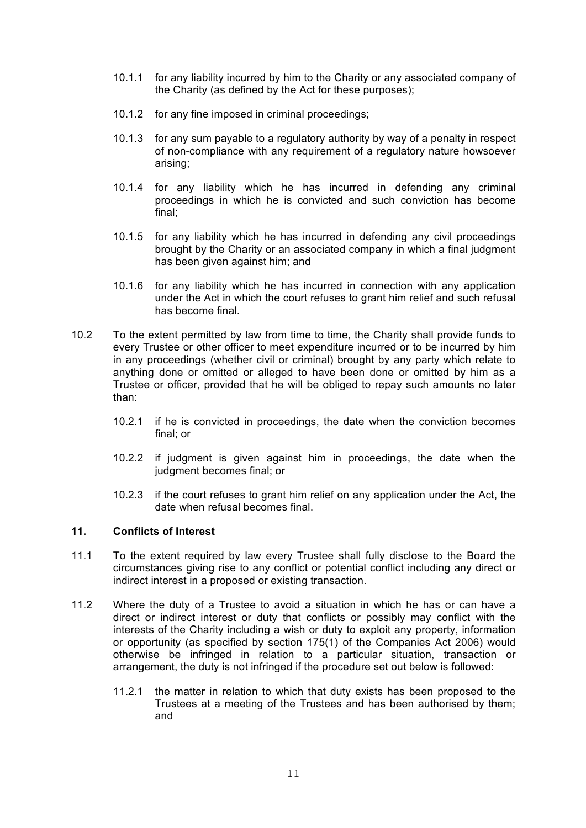- 10.1.1 for any liability incurred by him to the Charity or any associated company of the Charity (as defined by the Act for these purposes);
- 10.1.2 for any fine imposed in criminal proceedings;
- 10.1.3 for any sum payable to a regulatory authority by way of a penalty in respect of non-compliance with any requirement of a regulatory nature howsoever arising;
- 10.1.4 for any liability which he has incurred in defending any criminal proceedings in which he is convicted and such conviction has become final;
- 10.1.5 for any liability which he has incurred in defending any civil proceedings brought by the Charity or an associated company in which a final judgment has been given against him; and
- 10.1.6 for any liability which he has incurred in connection with any application under the Act in which the court refuses to grant him relief and such refusal has become final.
- 10.2 To the extent permitted by law from time to time, the Charity shall provide funds to every Trustee or other officer to meet expenditure incurred or to be incurred by him in any proceedings (whether civil or criminal) brought by any party which relate to anything done or omitted or alleged to have been done or omitted by him as a Trustee or officer, provided that he will be obliged to repay such amounts no later than:
	- 10.2.1 if he is convicted in proceedings, the date when the conviction becomes final; or
	- 10.2.2 if judgment is given against him in proceedings, the date when the judgment becomes final; or
	- 10.2.3 if the court refuses to grant him relief on any application under the Act, the date when refusal becomes final.

## **11. Conflicts of Interest**

- 11.1 To the extent required by law every Trustee shall fully disclose to the Board the circumstances giving rise to any conflict or potential conflict including any direct or indirect interest in a proposed or existing transaction.
- 11.2 Where the duty of a Trustee to avoid a situation in which he has or can have a direct or indirect interest or duty that conflicts or possibly may conflict with the interests of the Charity including a wish or duty to exploit any property, information or opportunity (as specified by section 175(1) of the Companies Act 2006) would otherwise be infringed in relation to a particular situation, transaction or arrangement, the duty is not infringed if the procedure set out below is followed:
	- 11.2.1 the matter in relation to which that duty exists has been proposed to the Trustees at a meeting of the Trustees and has been authorised by them; and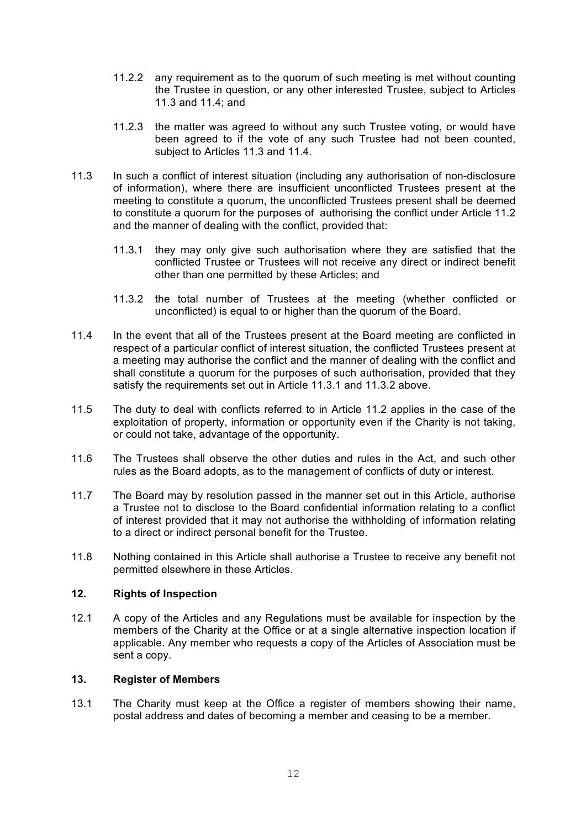- 11.2.2 any requirement as to the quorum of such meeting is met without counting the Trustee in question, or any other interested Trustee, subject to Articles 11.3 and 11.4; and
- 11.2.3 the matter was agreed to without any such Trustee voting, or would have been agreed to if the vote of any such Trustee had not been counted, subject to Articles 11.3 and 11.4.
- 11.3 In such a conflict of interest situation (including any authorisation of non-disclosure of information), where there are insufficient unconflicted Trustees present at the meeting to constitute a quorum, the unconflicted Trustees present shall be deemed to constitute a quorum for the purposes of authorising the conflict under Article 11.2 and the manner of dealing with the conflict, provided that:
	- 11.3.1 they may only give such authorisation where they are satisfied that the conflicted Trustee or Trustees will not receive any direct or indirect benefit other than one permitted by these Articles; and
	- 11.3.2 the total number of Trustees at the meeting (whether conflicted or unconflicted) is equal to or higher than the quorum of the Board.
- 11.4 In the event that all of the Trustees present at the Board meeting are conflicted in respect of a particular conflict of interest situation, the conflicted Trustees present at a meeting may authorise the conflict and the manner of dealing with the conflict and shall constitute a quorum for the purposes of such authorisation, provided that they satisfy the requirements set out in Article 11.3.1 and 11.3.2 above.
- 11.5 The duty to deal with conflicts referred to in Article 11.2 applies in the case of the exploitation of property, information or opportunity even if the Charity is not taking, or could not take, advantage of the opportunity.
- 11.6 The Trustees shall observe the other duties and rules in the Act, and such other rules as the Board adopts, as to the management of conflicts of duty or interest.
- 11.7 The Board may by resolution passed in the manner set out in this Article, authorise a Trustee not to disclose to the Board confidential information relating to a conflict of interest provided that it may not authorise the withholding of information relating to a direct or indirect personal benefit for the Trustee.
- 11.8 Nothing contained in this Article shall authorise a Trustee to receive any benefit not permitted elsewhere in these Articles.

## **12. Rights of Inspection**

12.1 A copy of the Articles and any Regulations must be available for inspection by the members of the Charity at the Office or at a single alternative inspection location if applicable. Any member who requests a copy of the Articles of Association must be sent a copy.

#### **13. Register of Members**

13.1 The Charity must keep at the Office a register of members showing their name, postal address and dates of becoming a member and ceasing to be a member.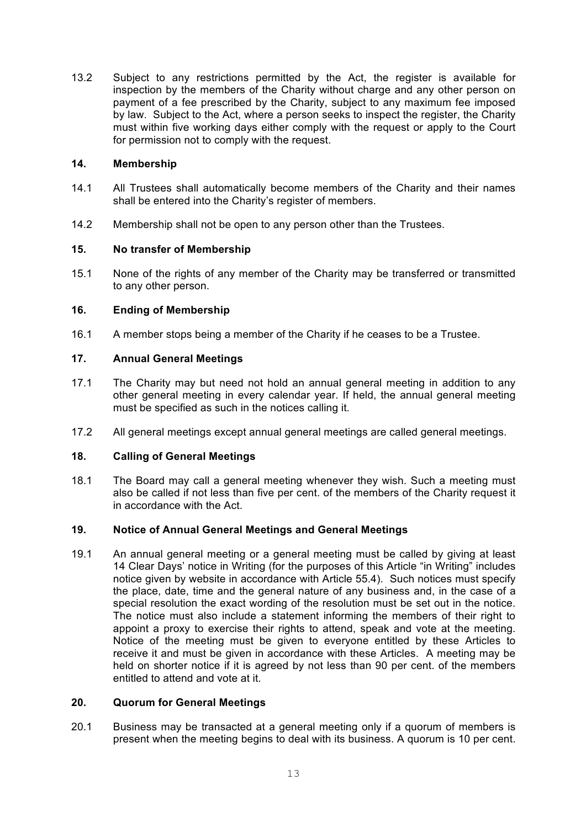13.2 Subject to any restrictions permitted by the Act, the register is available for inspection by the members of the Charity without charge and any other person on payment of a fee prescribed by the Charity, subject to any maximum fee imposed by law. Subject to the Act, where a person seeks to inspect the register, the Charity must within five working days either comply with the request or apply to the Court for permission not to comply with the request.

## **14. Membership**

- 14.1 All Trustees shall automatically become members of the Charity and their names shall be entered into the Charity's register of members.
- 14.2 Membership shall not be open to any person other than the Trustees.

## **15. No transfer of Membership**

15.1 None of the rights of any member of the Charity may be transferred or transmitted to any other person.

## **16. Ending of Membership**

16.1 A member stops being a member of the Charity if he ceases to be a Trustee.

## **17. Annual General Meetings**

- 17.1 The Charity may but need not hold an annual general meeting in addition to any other general meeting in every calendar year. If held, the annual general meeting must be specified as such in the notices calling it.
- 17.2 All general meetings except annual general meetings are called general meetings.

## **18. Calling of General Meetings**

18.1 The Board may call a general meeting whenever they wish. Such a meeting must also be called if not less than five per cent. of the members of the Charity request it in accordance with the Act.

## **19. Notice of Annual General Meetings and General Meetings**

19.1 An annual general meeting or a general meeting must be called by giving at least 14 Clear Days' notice in Writing (for the purposes of this Article "in Writing" includes notice given by website in accordance with Article 55.4). Such notices must specify the place, date, time and the general nature of any business and, in the case of a special resolution the exact wording of the resolution must be set out in the notice. The notice must also include a statement informing the members of their right to appoint a proxy to exercise their rights to attend, speak and vote at the meeting. Notice of the meeting must be given to everyone entitled by these Articles to receive it and must be given in accordance with these Articles. A meeting may be held on shorter notice if it is agreed by not less than 90 per cent. of the members entitled to attend and vote at it.

## **20. Quorum for General Meetings**

20.1 Business may be transacted at a general meeting only if a quorum of members is present when the meeting begins to deal with its business. A quorum is 10 per cent.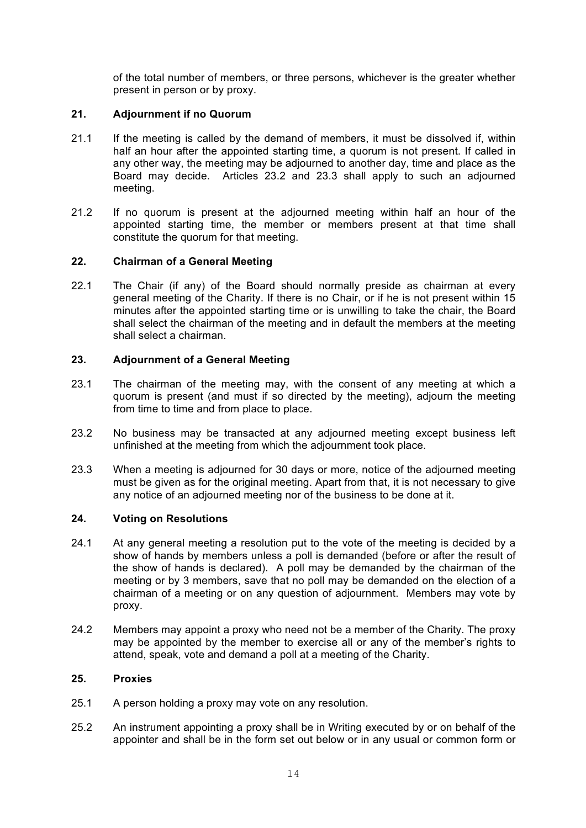of the total number of members, or three persons, whichever is the greater whether present in person or by proxy.

## **21. Adjournment if no Quorum**

- 21.1 If the meeting is called by the demand of members, it must be dissolved if, within half an hour after the appointed starting time, a quorum is not present. If called in any other way, the meeting may be adjourned to another day, time and place as the Board may decide. Articles 23.2 and 23.3 shall apply to such an adjourned meeting.
- 21.2 If no quorum is present at the adjourned meeting within half an hour of the appointed starting time, the member or members present at that time shall constitute the quorum for that meeting.

## **22. Chairman of a General Meeting**

22.1 The Chair (if any) of the Board should normally preside as chairman at every general meeting of the Charity. If there is no Chair, or if he is not present within 15 minutes after the appointed starting time or is unwilling to take the chair, the Board shall select the chairman of the meeting and in default the members at the meeting shall select a chairman.

## **23. Adjournment of a General Meeting**

- 23.1 The chairman of the meeting may, with the consent of any meeting at which a quorum is present (and must if so directed by the meeting), adjourn the meeting from time to time and from place to place.
- 23.2 No business may be transacted at any adjourned meeting except business left unfinished at the meeting from which the adjournment took place.
- 23.3 When a meeting is adjourned for 30 days or more, notice of the adjourned meeting must be given as for the original meeting. Apart from that, it is not necessary to give any notice of an adjourned meeting nor of the business to be done at it.

## **24. Voting on Resolutions**

- 24.1 At any general meeting a resolution put to the vote of the meeting is decided by a show of hands by members unless a poll is demanded (before or after the result of the show of hands is declared). A poll may be demanded by the chairman of the meeting or by 3 members, save that no poll may be demanded on the election of a chairman of a meeting or on any question of adjournment. Members may vote by proxy.
- 24.2 Members may appoint a proxy who need not be a member of the Charity. The proxy may be appointed by the member to exercise all or any of the member's rights to attend, speak, vote and demand a poll at a meeting of the Charity.

## **25. Proxies**

- 25.1 A person holding a proxy may vote on any resolution.
- 25.2 An instrument appointing a proxy shall be in Writing executed by or on behalf of the appointer and shall be in the form set out below or in any usual or common form or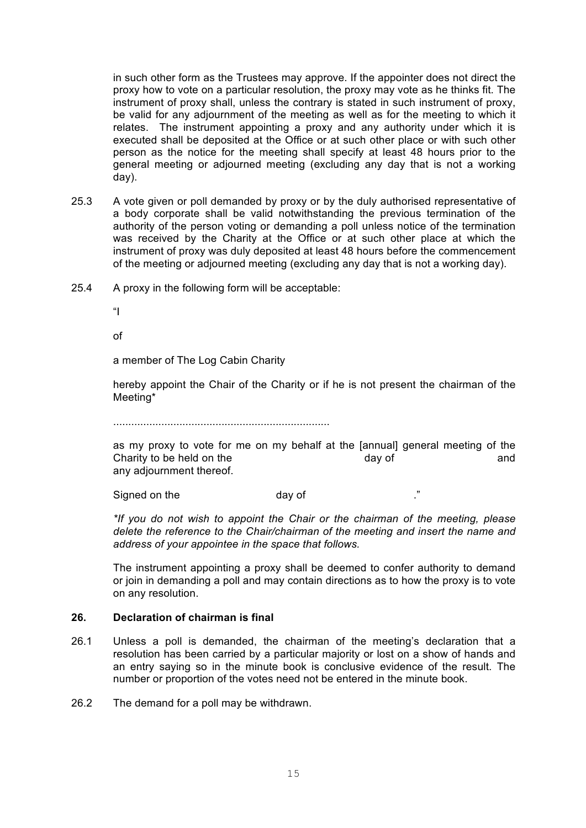in such other form as the Trustees may approve. If the appointer does not direct the proxy how to vote on a particular resolution, the proxy may vote as he thinks fit. The instrument of proxy shall, unless the contrary is stated in such instrument of proxy, be valid for any adjournment of the meeting as well as for the meeting to which it relates. The instrument appointing a proxy and any authority under which it is executed shall be deposited at the Office or at such other place or with such other person as the notice for the meeting shall specify at least 48 hours prior to the general meeting or adjourned meeting (excluding any day that is not a working day).

- 25.3 A vote given or poll demanded by proxy or by the duly authorised representative of a body corporate shall be valid notwithstanding the previous termination of the authority of the person voting or demanding a poll unless notice of the termination was received by the Charity at the Office or at such other place at which the instrument of proxy was duly deposited at least 48 hours before the commencement of the meeting or adjourned meeting (excluding any day that is not a working day).
- 25.4 A proxy in the following form will be acceptable:

 $\mathbf{u}$ 

of

a member of The Log Cabin Charity

hereby appoint the Chair of the Charity or if he is not present the chairman of the Meeting\*

........................................................................

as my proxy to vote for me on my behalf at the [annual] general meeting of the Charity to be held on the day of and any adjournment thereof.

Signed on the day of  $\blacksquare$  . "

*\*If you do not wish to appoint the Chair or the chairman of the meeting, please delete the reference to the Chair/chairman of the meeting and insert the name and address of your appointee in the space that follows.*

The instrument appointing a proxy shall be deemed to confer authority to demand or join in demanding a poll and may contain directions as to how the proxy is to vote on any resolution.

## **26. Declaration of chairman is final**

26.1 Unless a poll is demanded, the chairman of the meeting's declaration that a resolution has been carried by a particular majority or lost on a show of hands and an entry saying so in the minute book is conclusive evidence of the result. The number or proportion of the votes need not be entered in the minute book.

26.2 The demand for a poll may be withdrawn.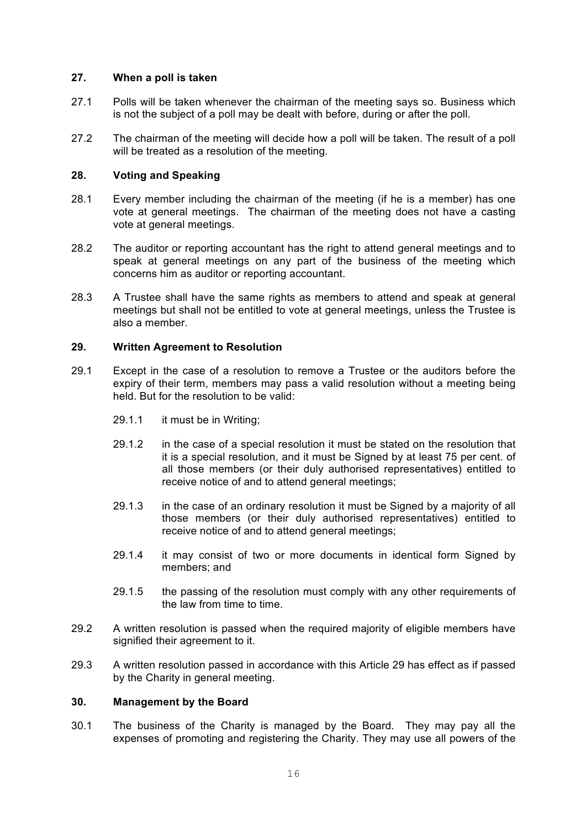#### **27. When a poll is taken**

- 27.1 Polls will be taken whenever the chairman of the meeting says so. Business which is not the subject of a poll may be dealt with before, during or after the poll.
- 27.2 The chairman of the meeting will decide how a poll will be taken. The result of a poll will be treated as a resolution of the meeting.

#### **28. Voting and Speaking**

- 28.1 Every member including the chairman of the meeting (if he is a member) has one vote at general meetings. The chairman of the meeting does not have a casting vote at general meetings.
- 28.2 The auditor or reporting accountant has the right to attend general meetings and to speak at general meetings on any part of the business of the meeting which concerns him as auditor or reporting accountant.
- 28.3 A Trustee shall have the same rights as members to attend and speak at general meetings but shall not be entitled to vote at general meetings, unless the Trustee is also a member.

#### **29. Written Agreement to Resolution**

- 29.1 Except in the case of a resolution to remove a Trustee or the auditors before the expiry of their term, members may pass a valid resolution without a meeting being held. But for the resolution to be valid:
	- 29.1.1 it must be in Writing;
	- 29.1.2 in the case of a special resolution it must be stated on the resolution that it is a special resolution, and it must be Signed by at least 75 per cent. of all those members (or their duly authorised representatives) entitled to receive notice of and to attend general meetings;
	- 29.1.3 in the case of an ordinary resolution it must be Signed by a majority of all those members (or their duly authorised representatives) entitled to receive notice of and to attend general meetings;
	- 29.1.4 it may consist of two or more documents in identical form Signed by members; and
	- 29.1.5 the passing of the resolution must comply with any other requirements of the law from time to time.
- 29.2 A written resolution is passed when the required majority of eligible members have signified their agreement to it.
- 29.3 A written resolution passed in accordance with this Article 29 has effect as if passed by the Charity in general meeting.

## **30. Management by the Board**

30.1 The business of the Charity is managed by the Board. They may pay all the expenses of promoting and registering the Charity. They may use all powers of the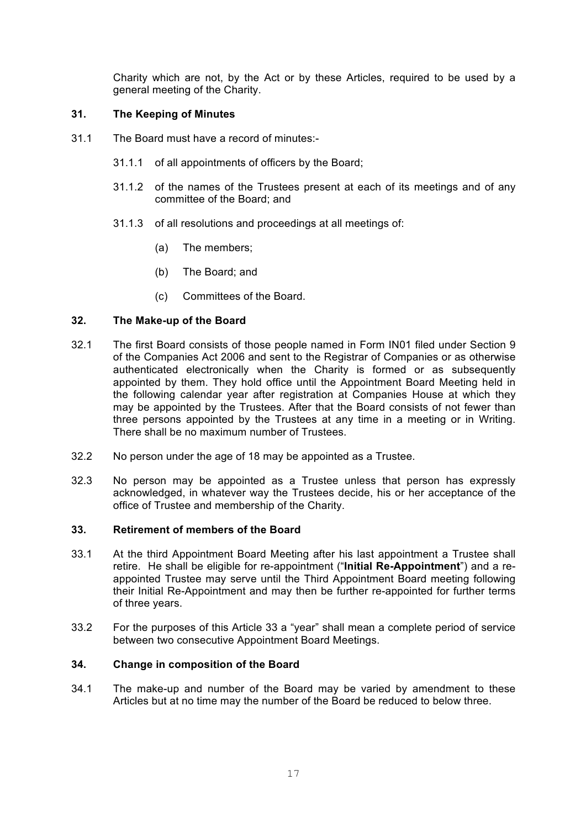Charity which are not, by the Act or by these Articles, required to be used by a general meeting of the Charity.

## **31. The Keeping of Minutes**

- 31.1 The Board must have a record of minutes:-
	- 31.1.1 of all appointments of officers by the Board;
	- 31.1.2 of the names of the Trustees present at each of its meetings and of any committee of the Board; and
	- 31.1.3 of all resolutions and proceedings at all meetings of:
		- (a) The members;
		- (b) The Board; and
		- (c) Committees of the Board.

#### **32. The Make-up of the Board**

- 32.1 The first Board consists of those people named in Form IN01 filed under Section 9 of the Companies Act 2006 and sent to the Registrar of Companies or as otherwise authenticated electronically when the Charity is formed or as subsequently appointed by them. They hold office until the Appointment Board Meeting held in the following calendar year after registration at Companies House at which they may be appointed by the Trustees. After that the Board consists of not fewer than three persons appointed by the Trustees at any time in a meeting or in Writing. There shall be no maximum number of Trustees.
- 32.2 No person under the age of 18 may be appointed as a Trustee.
- 32.3 No person may be appointed as a Trustee unless that person has expressly acknowledged, in whatever way the Trustees decide, his or her acceptance of the office of Trustee and membership of the Charity.

#### **33. Retirement of members of the Board**

- 33.1 At the third Appointment Board Meeting after his last appointment a Trustee shall retire. He shall be eligible for re-appointment ("**Initial Re-Appointment**") and a reappointed Trustee may serve until the Third Appointment Board meeting following their Initial Re-Appointment and may then be further re-appointed for further terms of three years.
- 33.2 For the purposes of this Article 33 a "year" shall mean a complete period of service between two consecutive Appointment Board Meetings.

#### **34. Change in composition of the Board**

34.1 The make-up and number of the Board may be varied by amendment to these Articles but at no time may the number of the Board be reduced to below three.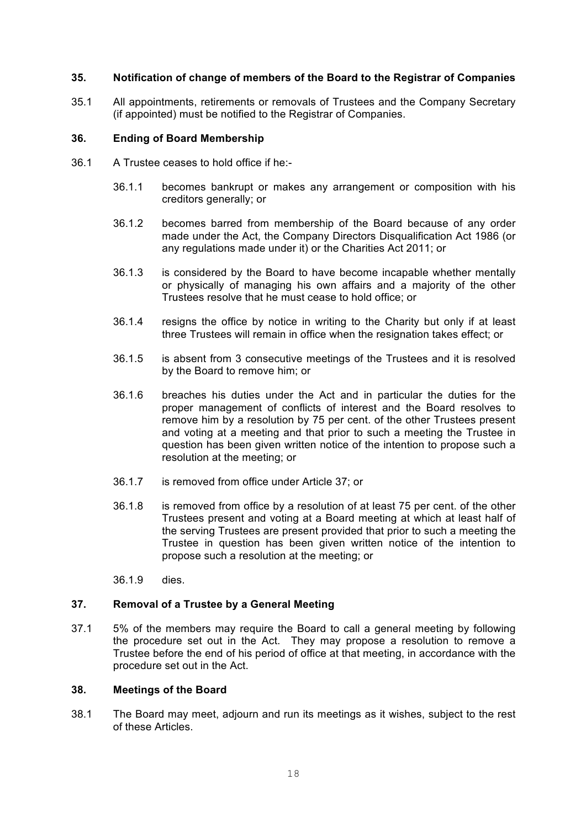#### **35. Notification of change of members of the Board to the Registrar of Companies**

35.1 All appointments, retirements or removals of Trustees and the Company Secretary (if appointed) must be notified to the Registrar of Companies.

#### **36. Ending of Board Membership**

- 36.1 A Trustee ceases to hold office if he:-
	- 36.1.1 becomes bankrupt or makes any arrangement or composition with his creditors generally; or
	- 36.1.2 becomes barred from membership of the Board because of any order made under the Act, the Company Directors Disqualification Act 1986 (or any regulations made under it) or the Charities Act 2011; or
	- 36.1.3 is considered by the Board to have become incapable whether mentally or physically of managing his own affairs and a majority of the other Trustees resolve that he must cease to hold office; or
	- 36.1.4 resigns the office by notice in writing to the Charity but only if at least three Trustees will remain in office when the resignation takes effect; or
	- 36.1.5 is absent from 3 consecutive meetings of the Trustees and it is resolved by the Board to remove him; or
	- 36.1.6 breaches his duties under the Act and in particular the duties for the proper management of conflicts of interest and the Board resolves to remove him by a resolution by 75 per cent. of the other Trustees present and voting at a meeting and that prior to such a meeting the Trustee in question has been given written notice of the intention to propose such a resolution at the meeting; or
	- 36.1.7 is removed from office under Article 37; or
	- 36.1.8 is removed from office by a resolution of at least 75 per cent. of the other Trustees present and voting at a Board meeting at which at least half of the serving Trustees are present provided that prior to such a meeting the Trustee in question has been given written notice of the intention to propose such a resolution at the meeting; or
	- 36.1.9 dies.

#### **37. Removal of a Trustee by a General Meeting**

37.1 5% of the members may require the Board to call a general meeting by following the procedure set out in the Act. They may propose a resolution to remove a Trustee before the end of his period of office at that meeting, in accordance with the procedure set out in the Act.

#### **38. Meetings of the Board**

38.1 The Board may meet, adjourn and run its meetings as it wishes, subject to the rest of these Articles.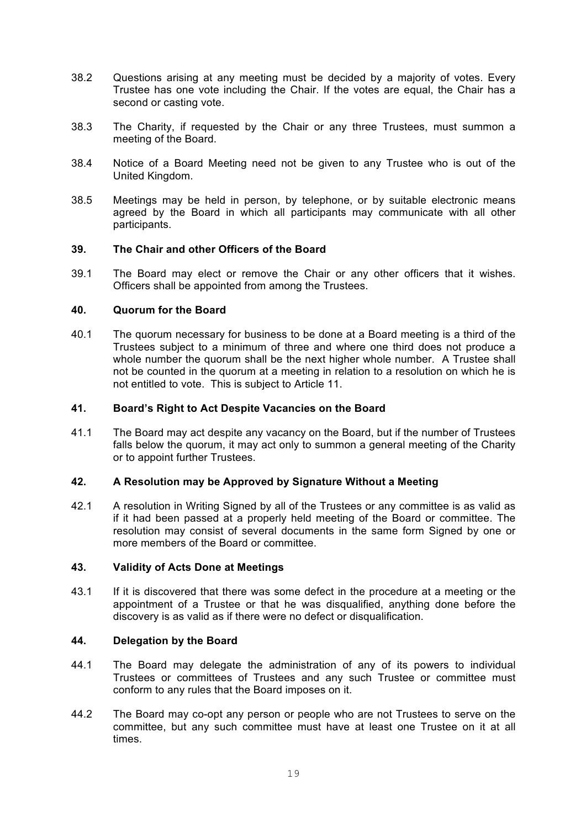- 38.2 Questions arising at any meeting must be decided by a majority of votes. Every Trustee has one vote including the Chair. If the votes are equal, the Chair has a second or casting vote.
- 38.3 The Charity, if requested by the Chair or any three Trustees, must summon a meeting of the Board.
- 38.4 Notice of a Board Meeting need not be given to any Trustee who is out of the United Kingdom.
- 38.5 Meetings may be held in person, by telephone, or by suitable electronic means agreed by the Board in which all participants may communicate with all other participants.

#### **39. The Chair and other Officers of the Board**

39.1 The Board may elect or remove the Chair or any other officers that it wishes. Officers shall be appointed from among the Trustees.

#### **40. Quorum for the Board**

40.1 The quorum necessary for business to be done at a Board meeting is a third of the Trustees subject to a minimum of three and where one third does not produce a whole number the quorum shall be the next higher whole number. A Trustee shall not be counted in the quorum at a meeting in relation to a resolution on which he is not entitled to vote. This is subject to Article 11.

#### **41. Board's Right to Act Despite Vacancies on the Board**

41.1 The Board may act despite any vacancy on the Board, but if the number of Trustees falls below the quorum, it may act only to summon a general meeting of the Charity or to appoint further Trustees.

#### **42. A Resolution may be Approved by Signature Without a Meeting**

42.1 A resolution in Writing Signed by all of the Trustees or any committee is as valid as if it had been passed at a properly held meeting of the Board or committee. The resolution may consist of several documents in the same form Signed by one or more members of the Board or committee.

#### **43. Validity of Acts Done at Meetings**

43.1 If it is discovered that there was some defect in the procedure at a meeting or the appointment of a Trustee or that he was disqualified, anything done before the discovery is as valid as if there were no defect or disqualification.

#### **44. Delegation by the Board**

- 44.1 The Board may delegate the administration of any of its powers to individual Trustees or committees of Trustees and any such Trustee or committee must conform to any rules that the Board imposes on it.
- 44.2 The Board may co-opt any person or people who are not Trustees to serve on the committee, but any such committee must have at least one Trustee on it at all times.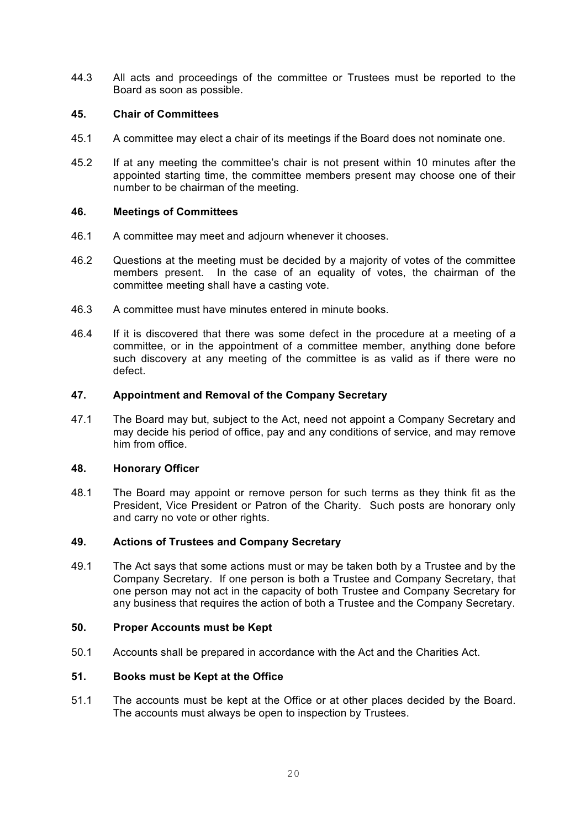44.3 All acts and proceedings of the committee or Trustees must be reported to the Board as soon as possible.

#### **45. Chair of Committees**

- 45.1 A committee may elect a chair of its meetings if the Board does not nominate one.
- 45.2 If at any meeting the committee's chair is not present within 10 minutes after the appointed starting time, the committee members present may choose one of their number to be chairman of the meeting.

#### **46. Meetings of Committees**

- 46.1 A committee may meet and adjourn whenever it chooses.
- 46.2 Questions at the meeting must be decided by a majority of votes of the committee members present. In the case of an equality of votes, the chairman of the committee meeting shall have a casting vote.
- 46.3 A committee must have minutes entered in minute books.
- 46.4 If it is discovered that there was some defect in the procedure at a meeting of a committee, or in the appointment of a committee member, anything done before such discovery at any meeting of the committee is as valid as if there were no defect.

#### **47. Appointment and Removal of the Company Secretary**

47.1 The Board may but, subject to the Act, need not appoint a Company Secretary and may decide his period of office, pay and any conditions of service, and may remove him from office.

#### **48. Honorary Officer**

48.1 The Board may appoint or remove person for such terms as they think fit as the President, Vice President or Patron of the Charity. Such posts are honorary only and carry no vote or other rights.

## **49. Actions of Trustees and Company Secretary**

49.1 The Act says that some actions must or may be taken both by a Trustee and by the Company Secretary. If one person is both a Trustee and Company Secretary, that one person may not act in the capacity of both Trustee and Company Secretary for any business that requires the action of both a Trustee and the Company Secretary.

#### **50. Proper Accounts must be Kept**

50.1 Accounts shall be prepared in accordance with the Act and the Charities Act.

#### **51. Books must be Kept at the Office**

51.1 The accounts must be kept at the Office or at other places decided by the Board. The accounts must always be open to inspection by Trustees.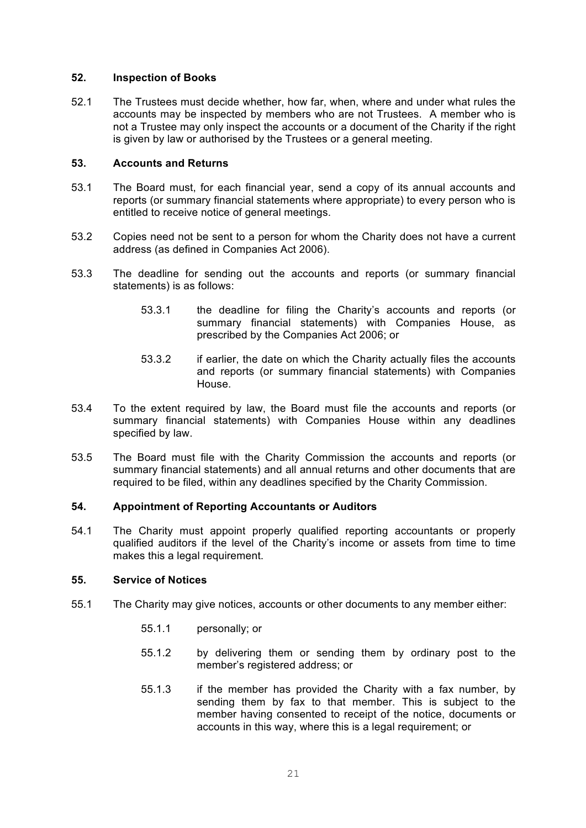#### **52. Inspection of Books**

52.1 The Trustees must decide whether, how far, when, where and under what rules the accounts may be inspected by members who are not Trustees. A member who is not a Trustee may only inspect the accounts or a document of the Charity if the right is given by law or authorised by the Trustees or a general meeting.

#### **53. Accounts and Returns**

- 53.1 The Board must, for each financial year, send a copy of its annual accounts and reports (or summary financial statements where appropriate) to every person who is entitled to receive notice of general meetings.
- 53.2 Copies need not be sent to a person for whom the Charity does not have a current address (as defined in Companies Act 2006).
- 53.3 The deadline for sending out the accounts and reports (or summary financial statements) is as follows:
	- 53.3.1 the deadline for filing the Charity's accounts and reports (or summary financial statements) with Companies House, as prescribed by the Companies Act 2006; or
	- 53.3.2 if earlier, the date on which the Charity actually files the accounts and reports (or summary financial statements) with Companies House.
- 53.4 To the extent required by law, the Board must file the accounts and reports (or summary financial statements) with Companies House within any deadlines specified by law.
- 53.5 The Board must file with the Charity Commission the accounts and reports (or summary financial statements) and all annual returns and other documents that are required to be filed, within any deadlines specified by the Charity Commission.

## **54. Appointment of Reporting Accountants or Auditors**

54.1 The Charity must appoint properly qualified reporting accountants or properly qualified auditors if the level of the Charity's income or assets from time to time makes this a legal requirement.

#### **55. Service of Notices**

- 55.1 The Charity may give notices, accounts or other documents to any member either:
	- 55.1.1 personally; or
	- 55.1.2 by delivering them or sending them by ordinary post to the member's registered address; or
	- 55.1.3 if the member has provided the Charity with a fax number, by sending them by fax to that member. This is subject to the member having consented to receipt of the notice, documents or accounts in this way, where this is a legal requirement; or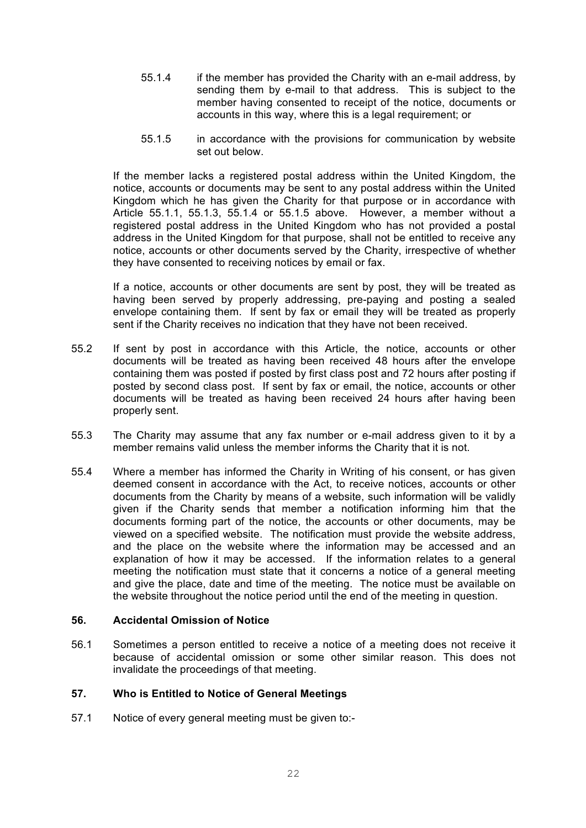- 55.1.4 if the member has provided the Charity with an e-mail address, by sending them by e-mail to that address. This is subject to the member having consented to receipt of the notice, documents or accounts in this way, where this is a legal requirement; or
- 55.1.5 in accordance with the provisions for communication by website set out below.

If the member lacks a registered postal address within the United Kingdom, the notice, accounts or documents may be sent to any postal address within the United Kingdom which he has given the Charity for that purpose or in accordance with Article 55.1.1, 55.1.3, 55.1.4 or 55.1.5 above. However, a member without a registered postal address in the United Kingdom who has not provided a postal address in the United Kingdom for that purpose, shall not be entitled to receive any notice, accounts or other documents served by the Charity, irrespective of whether they have consented to receiving notices by email or fax.

If a notice, accounts or other documents are sent by post, they will be treated as having been served by properly addressing, pre-paying and posting a sealed envelope containing them. If sent by fax or email they will be treated as properly sent if the Charity receives no indication that they have not been received.

- 55.2 If sent by post in accordance with this Article, the notice, accounts or other documents will be treated as having been received 48 hours after the envelope containing them was posted if posted by first class post and 72 hours after posting if posted by second class post. If sent by fax or email, the notice, accounts or other documents will be treated as having been received 24 hours after having been properly sent.
- 55.3 The Charity may assume that any fax number or e-mail address given to it by a member remains valid unless the member informs the Charity that it is not.
- 55.4 Where a member has informed the Charity in Writing of his consent, or has given deemed consent in accordance with the Act, to receive notices, accounts or other documents from the Charity by means of a website, such information will be validly given if the Charity sends that member a notification informing him that the documents forming part of the notice, the accounts or other documents, may be viewed on a specified website. The notification must provide the website address, and the place on the website where the information may be accessed and an explanation of how it may be accessed. If the information relates to a general meeting the notification must state that it concerns a notice of a general meeting and give the place, date and time of the meeting. The notice must be available on the website throughout the notice period until the end of the meeting in question.

#### **56. Accidental Omission of Notice**

56.1 Sometimes a person entitled to receive a notice of a meeting does not receive it because of accidental omission or some other similar reason. This does not invalidate the proceedings of that meeting.

#### **57. Who is Entitled to Notice of General Meetings**

57.1 Notice of every general meeting must be given to:-